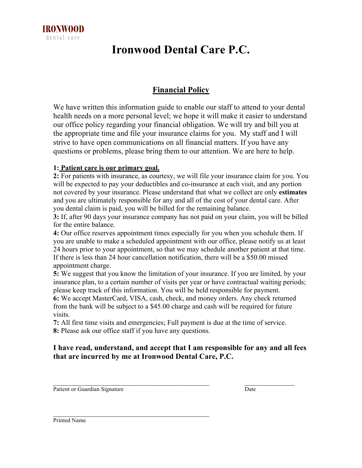

# **Ironwood Dental Care P.C.**

### **Financial Policy**

We have written this information guide to enable our staff to attend to your dental health needs on a more personal level; we hope it will make it easier to understand our office policy regarding your financial obligation. We will try and bill you at the appropriate time and file your insurance claims for you. My staff and I will strive to have open communications on all financial matters. If you have any questions or problems, please bring them to our attention. We are here to help.

#### **1: Patient care is our primary goal.**

**2:** For patients with insurance, as courtesy, we will file your insurance claim for you. You will be expected to pay your deductibles and co-insurance at each visit, and any portion not covered by your insurance. Please understand that what we collect are only **estimates** and you are ultimately responsible for any and all of the cost of your dental care. After you dental claim is paid, you will be billed for the remaining balance.

**3:** If, after 90 days your insurance company has not paid on your claim, you will be billed for the entire balance.

**4:** Our office reserves appointment times especially for you when you schedule them. If you are unable to make a scheduled appointment with our office, please notify us at least 24 hours prior to your appointment, so that we may schedule another patient at that time. If there is less than 24 hour cancellation notification, there will be a \$50.00 missed appointment charge.

**5:** We suggest that you know the limitation of your insurance. If you are limited, by your insurance plan, to a certain number of visits per year or have contractual waiting periods; please keep track of this information. You will be held responsible for payment. **6:** We accept MasterCard, VISA, cash, check, and money orders. Any check returned from the bank will be subject to a \$45.00 charge and cash will be required for future visits.

**7:** All first time visits and emergencies; Full payment is due at the time of service. **8:** Please ask our office staff if you have any questions.

#### **I have read, understand, and accept that I am responsible for any and all fees that are incurred by me at Ironwood Dental Care, P.C.**

 $\_$  , and the set of the set of the set of the set of the set of the set of the set of the set of the set of the set of the set of the set of the set of the set of the set of the set of the set of the set of the set of th

Patient or Guardian Signature Date

 $\mathcal{L}_\text{max}$  , and the set of the set of the set of the set of the set of the set of the set of the set of the set of the set of the set of the set of the set of the set of the set of the set of the set of the set of the

Printed Name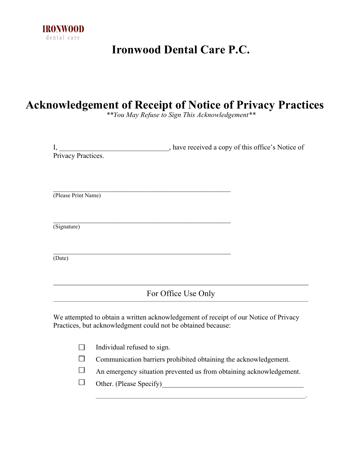

# **Ironwood Dental Care P.C.**

# **Acknowledgement of Receipt of Notice of Privacy Practices**

*\*\*You May Refuse to Sign This Acknowledgement\*\**

| I,                                                           | have received a copy of this office's Notice of                                      |  |  |  |  |  |
|--------------------------------------------------------------|--------------------------------------------------------------------------------------|--|--|--|--|--|
| Privacy Practices.                                           |                                                                                      |  |  |  |  |  |
|                                                              |                                                                                      |  |  |  |  |  |
|                                                              |                                                                                      |  |  |  |  |  |
| (Please Print Name)                                          |                                                                                      |  |  |  |  |  |
|                                                              |                                                                                      |  |  |  |  |  |
|                                                              |                                                                                      |  |  |  |  |  |
| (Signature)                                                  |                                                                                      |  |  |  |  |  |
|                                                              |                                                                                      |  |  |  |  |  |
| (Date)                                                       |                                                                                      |  |  |  |  |  |
|                                                              |                                                                                      |  |  |  |  |  |
|                                                              | For Office Use Only                                                                  |  |  |  |  |  |
|                                                              |                                                                                      |  |  |  |  |  |
| Practices, but acknowledgment could not be obtained because: | We attempted to obtain a written acknowledgement of receipt of our Notice of Privacy |  |  |  |  |  |
|                                                              |                                                                                      |  |  |  |  |  |
| Individual refused to sign.                                  |                                                                                      |  |  |  |  |  |

- Communication barriers prohibited obtaining the acknowledgement.  $\Box$
- $\Box$ An emergency situation prevented us from obtaining acknowledgement.

 $\mathcal{L}_\text{max}$  and the contribution of the contribution of the contribution of the contribution of the contribution of

 $\Box$ Other. (Please Specify)\_\_\_\_\_\_\_\_\_\_\_\_\_\_\_\_\_\_\_\_\_\_\_\_\_\_\_\_\_\_\_\_\_\_\_\_\_\_\_\_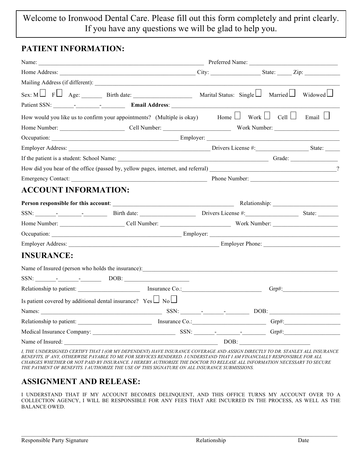### Welcome to Ironwood Dental Care. Please fill out this form completely and print clearly. If you have any questions we will be glad to help you.

#### **PATIENT INFORMATION:**

|                                                                       | Sex: M $\Box$ F $\Box$ Age: Birth date: Marine Marital Status: Single $\Box$ Married $\Box$ Widowed $\Box$                                                                                                                     |  |  |
|-----------------------------------------------------------------------|--------------------------------------------------------------------------------------------------------------------------------------------------------------------------------------------------------------------------------|--|--|
|                                                                       | Patient SSN: Patient SSN:                                                                                                                                                                                                      |  |  |
|                                                                       | How would you like us to confirm your appointments? (Multiple is okay) Home $\Box$ Work $\Box$ Cell $\Box$ Email $\Box$                                                                                                        |  |  |
|                                                                       |                                                                                                                                                                                                                                |  |  |
|                                                                       | Occupation: Employer: Employer:                                                                                                                                                                                                |  |  |
|                                                                       |                                                                                                                                                                                                                                |  |  |
|                                                                       | If the patient is a student: School Name: Camera and School School School Name: Camera and School School School School School School School School School School School School School School School School School School Schoo |  |  |
|                                                                       |                                                                                                                                                                                                                                |  |  |
|                                                                       |                                                                                                                                                                                                                                |  |  |
| <b>ACCOUNT INFORMATION:</b>                                           |                                                                                                                                                                                                                                |  |  |
|                                                                       |                                                                                                                                                                                                                                |  |  |
|                                                                       | SSN: SSN: State: Birth date: Drivers License #: State: State:                                                                                                                                                                  |  |  |
|                                                                       |                                                                                                                                                                                                                                |  |  |
|                                                                       |                                                                                                                                                                                                                                |  |  |
|                                                                       | Employer Address: Employer Address: Employer Address:                                                                                                                                                                          |  |  |
| <b>INSURANCE:</b>                                                     |                                                                                                                                                                                                                                |  |  |
|                                                                       | Name of Insured (person who holds the insurance):                                                                                                                                                                              |  |  |
|                                                                       | $SSN:$ DOB: DOB:                                                                                                                                                                                                               |  |  |
|                                                                       | Relationship to patient: Insurance Co.: Insurance Co.:                                                                                                                                                                         |  |  |
| Is patient covered by additional dental insurance? $Yes \Box No \Box$ |                                                                                                                                                                                                                                |  |  |
|                                                                       |                                                                                                                                                                                                                                |  |  |
|                                                                       |                                                                                                                                                                                                                                |  |  |
|                                                                       |                                                                                                                                                                                                                                |  |  |
|                                                                       |                                                                                                                                                                                                                                |  |  |

*I, THE UNDERSIGNED CERTIFY THAT I (OR MY DEPENDENT) HAVE INSURANCE COVERAGE AND ASSIGN DIRECTLY TO DR. STANLEY ALL INSURANCE BENEFITS, IF ANY, OTHERWISE PAYABLE TO ME FOR SERVICES RENDERED. I UNDERSTAND THAT I AM FINANCIALLY RESPONSIBLE FOR ALL CHARGES WHETHER OR NOT PAID BY INSURANCE. I HEREBY AUTHORIZE THE DOCTOR TO RELEASE ALL INFORMATION NECESSARY TO SECURE THE PAYMENT OF BENEFITS. I AUTHORIZE THE USE OF THIS SIGNATURE ON ALL INSURANCE SUBMISSIONS.* 

### **ASSIGNMENT AND RELEASE:**

I UNDERSTAND THAT IF MY ACCOUNT BECOMES DELINQUENT, AND THIS OFFICE TURNS MY ACCOUNT OVER TO A COLLECTION AGENCY, I WILL BE RESPONSIBLE FOR ANY FEES THAT ARE INCURRED IN THE PROCESS, AS WELL AS THE BALANCE OWED.